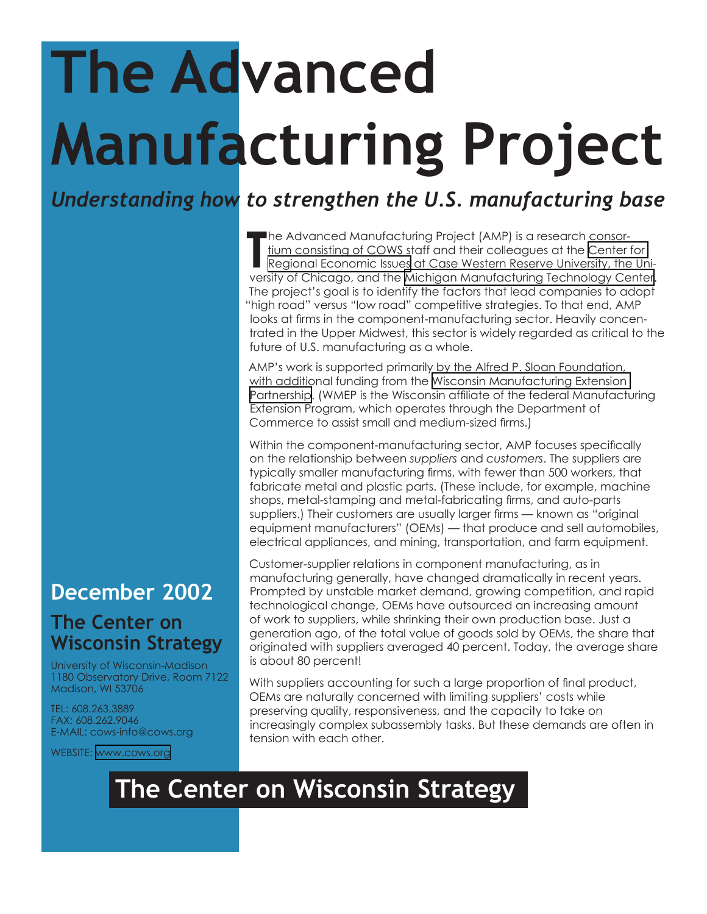## **The Advanced Manufacturing Project**

*Understanding how to strengthen the U.S. manufacturing base*

The Advanced Manufacturing Project (AMP) is a research consor-<br>
Trium consisting of COWS staff and their colleagues at the Center<br>
Regional Economic Issues at Case Western Reserve University, the<br>
Versity of Chicago, and t tium consisting of COWS staff and their colleagues at the [Center for](http://weatherhead.cwru.edu/rei/)  [Regional Economic Issues](http://weatherhead.cwru.edu/rei/) at Case Western Reserve University, the University of Chicago, and the [Michigan Manufacturing Technology Center](http://www.mmtc.org/). The project's goal is to identify the factors that lead companies to adopt "high road" versus "low road" competitive strategies. To that end, AMP looks at firms in the component-manufacturing sector. Heavily concentrated in the Upper Midwest, this sector is widely regarded as critical to the future of U.S. manufacturing as a whole.

AMP's work is supported primarily by the Alfred P. Sloan Foundation, with additional funding from the [Wisconsin Manufacturing Extension](http://www.wmep.org/)  [Partnership.](http://www.wmep.org/) (WMEP is the Wisconsin affiliate of the federal Manufacturing Extension Program, which operates through the Department of Commerce to assist small and medium-sized firms.)

Within the component-manufacturing sector, AMP focuses specifically on the relationship between *suppliers* and *customers*. The suppliers are typically smaller manufacturing firms, with fewer than 500 workers, that fabricate metal and plastic parts. (These include, for example, machine shops, metal-stamping and metal-fabricating firms, and auto-parts suppliers.) Their customers are usually larger firms — known as "original equipment manufacturers" (OEMs) — that produce and sell automobiles, electrical appliances, and mining, transportation, and farm equipment.

Customer-supplier relations in component manufacturing, as in manufacturing generally, have changed dramatically in recent years. Prompted by unstable market demand, growing competition, and rapid technological change, OEMs have outsourced an increasing amount of work to suppliers, while shrinking their own production base. Just a generation ago, of the total value of goods sold by OEMs, the share that originated with suppliers averaged 40 percent. Today, the average share is about 80 percent!

With suppliers accounting for such a large proportion of final product, OEMs are naturally concerned with limiting suppliers' costs while preserving quality, responsiveness, and the capacity to take on increasingly complex subassembly tasks. But these demands are often in tension with each other.

## **The Center on Wisconsin Strategy**

## **December 2002**

## **The Center on Wisconsin Strategy**

University of Wisconsin-Madison 1180 Observatory Drive, Room 7122 Madison, WI 53706

TEL: 608.263.3889 FAX: 608.262.9046 E-MAIL: cows-info@cows.org

WEBSITE: [www.cows.org](http://www.cows.org)